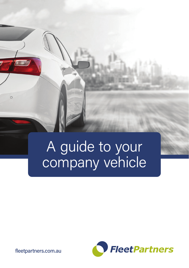

# A guide to your company vehicle



fleetpartners.com.au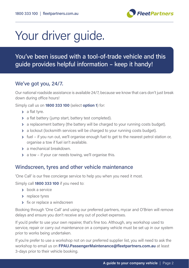

## Your driver guide.

You've been issued with a tool-of-trade vehicle and this guide provides helpful information – keep it handy!

### We've got you, 24/7.

Our national roadside assistance is available 24/7, because we know that cars don't just break down during office hours!

Simply call us on **1800 333 100** (select **option 1**) for:

- **›** a flat tyre.
- **›** a flat battery (jump start, battery test completed).
- **›** a replacement battery (the battery will be charged to your running costs budget).
- **›** a lockout (locksmith services will be charged to your running costs budget).
- **›** fuel if you run out, we'll organise enough fuel to get to the nearest petrol station or, organise a tow if fuel isn't available.
- **›** a mechanical breakdown.
- **›** a tow if your car needs towing, we'll organise this.

#### Windscreen, tyres and other vehicle maintenance

'One Call' is our free concierge service to help you when you need it most.

Simply call **1800 333 100** if you need to:

- **›** book a service
- **›** replace tyres
- **›** fix or replace a windscreen

Booking through 'One Call' and using our preferred partners, mycar and O'Brien will remove delays and ensure you don't receive any out of pocket expenses.

If you'd prefer to use your own repairer, that's fine too. Although, any workshop used to service, repair or carry out maintenance on a company vehicle must be set up in our system prior to works being undertaken.

If you're prefer to use a workshop not on our preferred supplier list, you will need to ask the workshop to email us on **FPAU.PassengerMaintenance@fleetpartners.com.au** at least 3-days prior to their vehicle booking.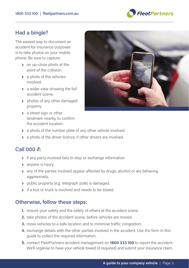

#### Had a bingle?

The easiest way to document an accident for insurance purposes is to take photos on your mobile phone. Be sure to capture:

- **›** an up-close photo at the point of the collision.
- **›** a photo of the vehicles involved.
- **›** a wider view showing the full accident scene.
- **›** photos of any other damaged property.
- **›** a street sign or other landmark nearby, to confirm the accident location.



- **›** a photo of the number plate of any other vehicle involved.
- **›** a photo of the driver licence, if other drivers are involved.

### Call 000 if:

- **›** if any party involved fails to stop or exchange information.
- **›** anyone is injury.
- **›** any of the parties involved appear affected by drugs, alcohol or are behaving aggressively.
- **›** public property (e.g. telegraph pole) is damaged.
- **›** if a bus or truck is involved and needs to be towed.

#### Otherwise, follow these steps:

- **1.** ensure your safety and the safety of others at the accident scene.
- **2.** take photos of the accident scene, before vehicles are moved.
- **3.** move vehicles to a safe location and to minimise traffic congestion.
- **4.** exchange details with the other parties involved in the accident. Use the form in this guide to collect the required information.
- **5.** contact FleetPartners accident management on **1800 333 100** to report the accident. We'll organise to have your vehicle towed (if required) and submit your insurance claim.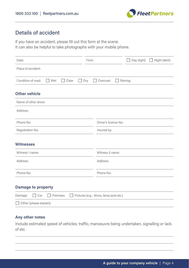

## Details of accident

If you have an accident, please fill out this form at the scene. It can also be helpful to take photographs with your mobile phone.

| Date:                                      | Time:                                | Day (light)<br>Night (dark)<br>-1 |
|--------------------------------------------|--------------------------------------|-----------------------------------|
| Place of accident:                         |                                      |                                   |
| Condition of road:<br>Clear<br>Wet         | Dry<br>Overcast                      | Raining                           |
| <b>Other vehicle</b>                       |                                      |                                   |
| Name of other driver:                      |                                      |                                   |
| Address:                                   |                                      |                                   |
| Phone No:                                  | Driver's licence No:                 |                                   |
| Registration No:                           | Insured by:                          |                                   |
| <b>Witnesses</b>                           |                                      |                                   |
| Witness 1 name:                            | Witness 2 name:                      |                                   |
| Address:                                   | Address:                             |                                   |
| Phone No:                                  | Phone No:                            |                                   |
| <b>Damage to property</b>                  |                                      |                                   |
| Premises<br>Car<br>Damage:<br>$\mathbf{1}$ | Fixtures (e.g fence, lamp post etc.) |                                   |
| Other (please explain):                    |                                      |                                   |

## **Any other notes**

Include estimated speed of vehicles; traffic, manoeuvre being undertaken, signalling or lack of etc.